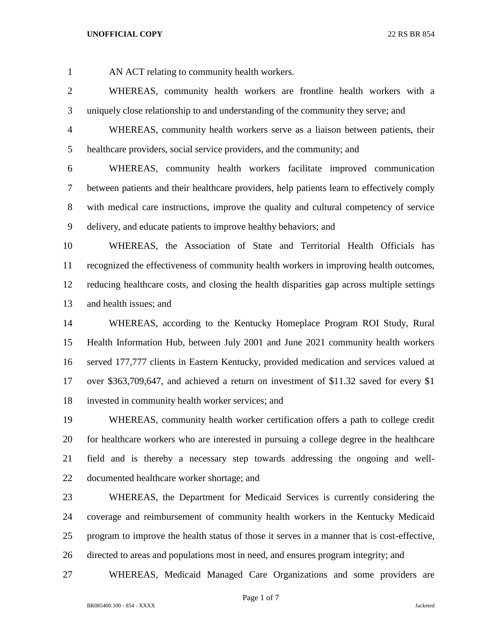AN ACT relating to community health workers.

 WHEREAS, community health workers are frontline health workers with a uniquely close relationship to and understanding of the community they serve; and

 WHEREAS, community health workers serve as a liaison between patients, their healthcare providers, social service providers, and the community; and

 WHEREAS, community health workers facilitate improved communication between patients and their healthcare providers, help patients learn to effectively comply with medical care instructions, improve the quality and cultural competency of service delivery, and educate patients to improve healthy behaviors; and

 WHEREAS, the Association of State and Territorial Health Officials has recognized the effectiveness of community health workers in improving health outcomes, reducing healthcare costs, and closing the health disparities gap across multiple settings and health issues; and

 WHEREAS, according to the Kentucky Homeplace Program ROI Study, Rural Health Information Hub, between July 2001 and June 2021 community health workers served 177,777 clients in Eastern Kentucky, provided medication and services valued at over \$363,709,647, and achieved a return on investment of \$11.32 saved for every \$1 invested in community health worker services; and

 WHEREAS, community health worker certification offers a path to college credit for healthcare workers who are interested in pursuing a college degree in the healthcare field and is thereby a necessary step towards addressing the ongoing and well-documented healthcare worker shortage; and

 WHEREAS, the Department for Medicaid Services is currently considering the coverage and reimbursement of community health workers in the Kentucky Medicaid program to improve the health status of those it serves in a manner that is cost-effective, directed to areas and populations most in need, and ensures program integrity; and

WHEREAS, Medicaid Managed Care Organizations and some providers are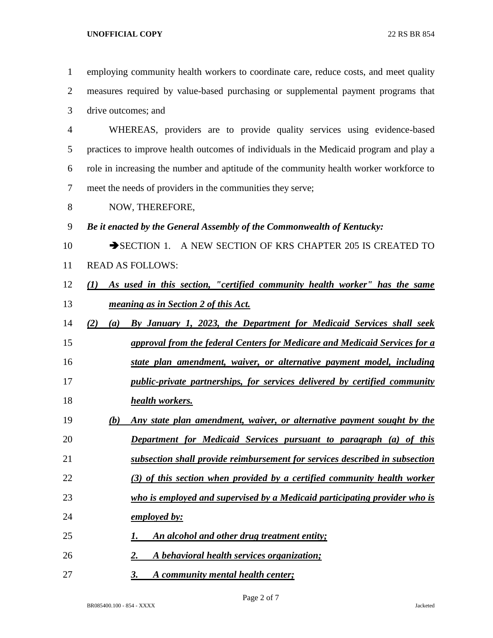| $\mathbf{1}$   | employing community health workers to coordinate care, reduce costs, and meet quality  |
|----------------|----------------------------------------------------------------------------------------|
| $\mathbf{2}$   | measures required by value-based purchasing or supplemental payment programs that      |
| 3              | drive outcomes; and                                                                    |
| $\overline{4}$ | WHEREAS, providers are to provide quality services using evidence-based                |
| 5              | practices to improve health outcomes of individuals in the Medicaid program and play a |
| 6              | role in increasing the number and aptitude of the community health worker workforce to |
| $\tau$         | meet the needs of providers in the communities they serve;                             |
| 8              | NOW, THEREFORE,                                                                        |
| 9              | Be it enacted by the General Assembly of the Commonwealth of Kentucky:                 |
| 10             | SECTION 1. A NEW SECTION OF KRS CHAPTER 205 IS CREATED TO                              |
| 11             | <b>READ AS FOLLOWS:</b>                                                                |
| 12             | As used in this section, "certified community health worker" has the same<br>(I)       |
| 13             | meaning as in Section 2 of this Act.                                                   |
| 14             | By January 1, 2023, the Department for Medicaid Services shall seek<br>(2)<br>(a)      |
| 15             | approval from the federal Centers for Medicare and Medicaid Services for a             |
| 16             | state plan amendment, waiver, or alternative payment model, including                  |
| 17             | public-private partnerships, for services delivered by certified community             |
| 18             | health workers.                                                                        |
| 19             | Any state plan amendment, waiver, or alternative payment sought by the<br>(b)          |
| 20             | <b>Department for Medicaid Services pursuant to paragraph (a) of this</b>              |
| 21             | subsection shall provide reimbursement for services described in subsection            |
| 22             | (3) of this section when provided by a certified community health worker               |
| 23             | who is employed and supervised by a Medicaid participating provider who is             |
| 24             | employed by:                                                                           |
| 25             | An alcohol and other drug treatment entity;<br>1.                                      |
| 26             | A behavioral health services organization;<br>2.                                       |
| 27             | <b>3.</b><br>A community mental health center;                                         |

Page 2 of 7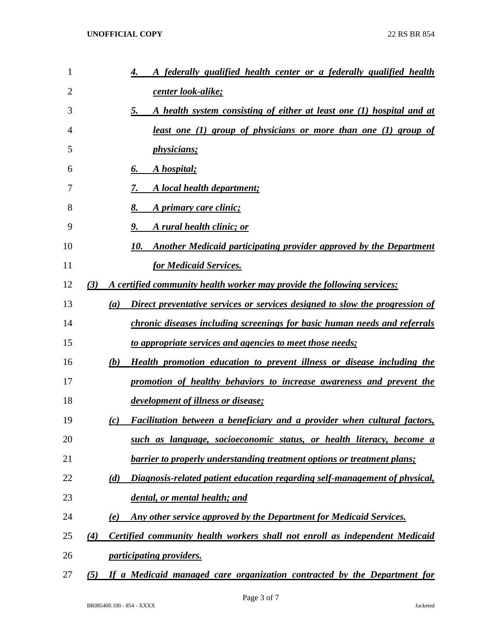| 1  | <u>A federally qualified health center or a federally qualified health</u><br>4.                 |
|----|--------------------------------------------------------------------------------------------------|
| 2  | center look-alike;                                                                               |
| 3  | A health system consisting of either at least one (1) hospital and at<br>5.                      |
| 4  | <u>least one (1) group of physicians or more than one (1) group of</u>                           |
| 5  | <i>physicians;</i>                                                                               |
| 6  | A hospital;<br>6.                                                                                |
| 7  | A local health department;<br>7.                                                                 |
| 8  | A primary care clinic;<br>8.                                                                     |
| 9  | 9.<br>A rural health clinic; or                                                                  |
| 10 | Another Medicaid participating provider approved by the Department<br>10.                        |
| 11 | for Medicaid Services.                                                                           |
| 12 | (3)<br>A certified community health worker may provide the following services:                   |
| 13 | Direct preventative services or services designed to slow the progression of<br>$\left(a\right)$ |
| 14 | chronic diseases including screenings for basic human needs and referrals                        |
| 15 | to appropriate services and agencies to meet those needs;                                        |
| 16 | <b>Health promotion education to prevent illness or disease including the</b><br>(b)             |
| 17 | promotion of healthy behaviors to increase awareness and prevent the                             |
| 18 | development of illness or disease;                                                               |
| 19 | Facilitation between a beneficiary and a provider when cultural factors,<br>(c)                  |
| 20 | such as language, socioeconomic status, or health literacy, become a                             |
| 21 | barrier to properly understanding treatment options or treatment plans;                          |
| 22 | Diagnosis-related patient education regarding self-management of physical,<br>(d)                |
| 23 | dental, or mental health; and                                                                    |
| 24 | Any other service approved by the Department for Medicaid Services.<br>(e)                       |
| 25 | Certified community health workers shall not enroll as independent Medicaid<br>(4)               |
| 26 | <i><u><b>participating providers.</b></u></i>                                                    |
| 27 | If a Medicaid managed care organization contracted by the Department for<br>(5)                  |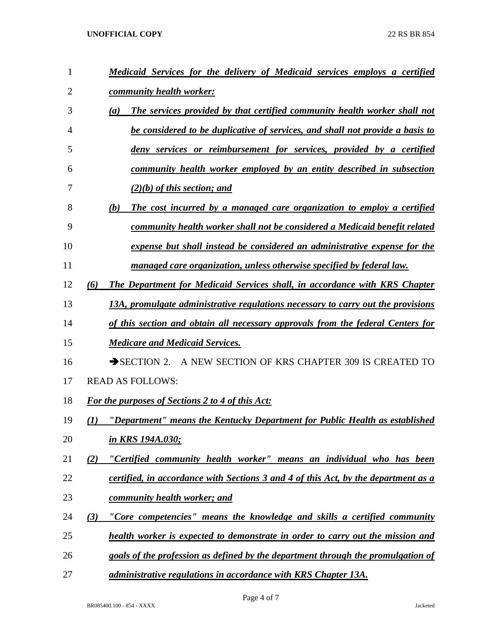| $\mathbf{1}$   | Medicaid Services for the delivery of Medicaid services employs a certified        |
|----------------|------------------------------------------------------------------------------------|
| $\overline{2}$ | community health worker:                                                           |
| 3              | The services provided by that certified community health worker shall not<br>(a)   |
| 4              | be considered to be duplicative of services, and shall not provide a basis to      |
| 5              | deny services or reimbursement for services, provided by a certified               |
| 6              | community health worker employed by an entity described in subsection              |
| 7              | $(2)(b)$ of this section; and                                                      |
| 8              | (b)<br>The cost incurred by a managed care organization to employ a certified      |
| 9              | community health worker shall not be considered a Medicaid benefit related         |
| 10             | expense but shall instead be considered an administrative expense for the          |
| 11             | managed care organization, unless otherwise specified by federal law.              |
| 12             | The Department for Medicaid Services shall, in accordance with KRS Chapter<br>(6)  |
| 13             | 13A, promulgate administrative regulations necessary to carry out the provisions   |
| 14             | of this section and obtain all necessary approvals from the federal Centers for    |
| 15             | <b>Medicare and Medicaid Services.</b>                                             |
| 16             | SECTION 2. A NEW SECTION OF KRS CHAPTER 309 IS CREATED TO                          |
| 17             | <b>READ AS FOLLOWS:</b>                                                            |
| 18             | For the purposes of Sections 2 to 4 of this Act:                                   |
| 19             | "Department" means the Kentucky Department for Public Health as established<br>(I) |
| 20             | in KRS 194A.030;                                                                   |
| 21             | "Certified community health worker" means an individual who has been<br>(2)        |
| 22             | certified, in accordance with Sections 3 and 4 of this Act, by the department as a |
| 23             | community health worker; and                                                       |
| 24             | "Core competencies" means the knowledge and skills a certified community<br>(3)    |
| 25             | health worker is expected to demonstrate in order to carry out the mission and     |
| 26             | goals of the profession as defined by the department through the promulgation of   |
| 27             | administrative regulations in accordance with KRS Chapter 13A.                     |

Page 4 of 7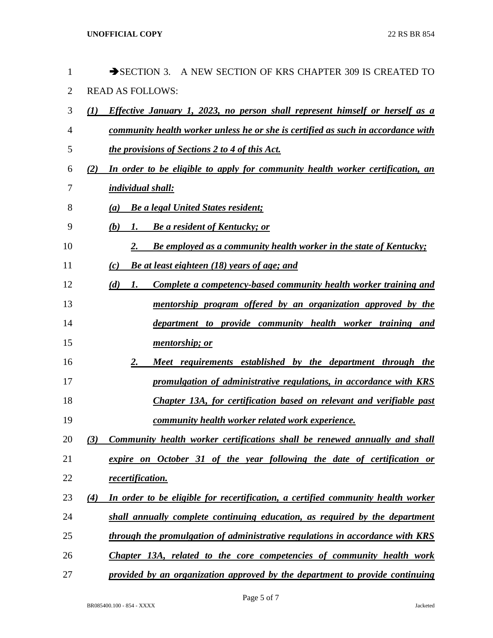| $\mathbf{1}$   |     | SECTION 3. A NEW SECTION OF KRS CHAPTER 309 IS CREATED TO                        |
|----------------|-----|----------------------------------------------------------------------------------|
| $\overline{2}$ |     | <b>READ AS FOLLOWS:</b>                                                          |
| 3              | (1) | Effective January 1, 2023, no person shall represent himself or herself as a     |
| 4              |     | community health worker unless he or she is certified as such in accordance with |
| 5              |     | <i>the provisions of Sections 2 to 4 of this Act.</i>                            |
| 6              | (2) | In order to be eligible to apply for community health worker certification, an   |
| 7              |     | <i>individual shall:</i>                                                         |
| 8              | (a) | <b>Be a legal United States resident;</b>                                        |
| 9              | (b) | <b>Be a resident of Kentucky; or</b><br>1.                                       |
| 10             |     | Be employed as a community health worker in the state of Kentucky;<br>2.         |
| 11             | (c) | Be at least eighteen (18) years of age; and                                      |
| 12             | (d) | Complete a competency-based community health worker training and<br>1.           |
| 13             |     | mentorship program offered by an organization approved by the                    |
| 14             |     | department to provide community health worker training and                       |
| 15             |     | mentorship; or                                                                   |
| 16             |     | 2.<br>Meet requirements established by the department through the                |
| 17             |     | promulgation of administrative regulations, in accordance with KRS               |
| 18             |     | Chapter 13A, for certification based on relevant and verifiable past             |
| 19             |     | <u>community health worker related work experience.</u>                          |
| 20             | (3) | Community health worker certifications shall be renewed annually and shall       |
| 21             |     | expire on October 31 of the year following the date of certification or          |
| 22             |     | recertification.                                                                 |
| 23             | (4) | In order to be eligible for recertification, a certified community health worker |
| 24             |     | shall annually complete continuing education, as required by the department      |
| 25             |     | through the promulgation of administrative regulations in accordance with KRS    |
| 26             |     | Chapter 13A, related to the core competencies of community health work           |
| 27             |     | provided by an organization approved by the department to provide continuing     |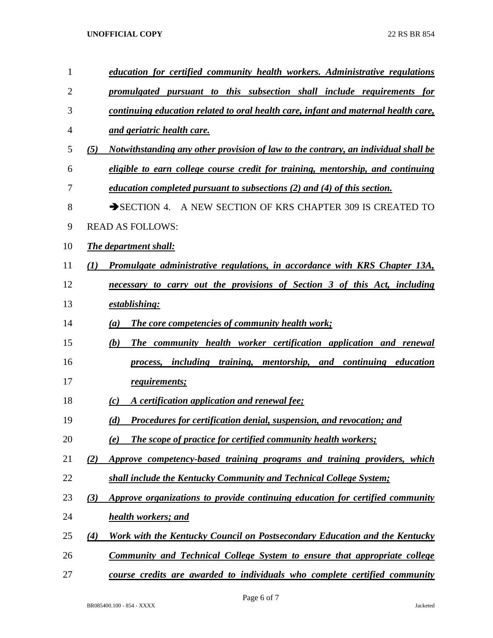| 1  |                  | education for certified community health workers. Administrative regulations       |
|----|------------------|------------------------------------------------------------------------------------|
| 2  |                  | promulgated pursuant to this subsection shall include requirements for             |
| 3  |                  | continuing education related to oral health care, infant and maternal health care, |
| 4  |                  | and geriatric health care.                                                         |
| 5  | (5)              | Notwithstanding any other provision of law to the contrary, an individual shall be |
| 6  |                  | eligible to earn college course credit for training, mentorship, and continuing    |
| 7  |                  | <i>education completed pursuant to subsections (2) and (4) of this section.</i>    |
| 8  |                  | SECTION 4. A NEW SECTION OF KRS CHAPTER 309 IS CREATED TO                          |
| 9  |                  | <b>READ AS FOLLOWS:</b>                                                            |
| 10 |                  | <b>The department shall:</b>                                                       |
| 11 | $\mathcal{L}(I)$ | <b>Promulgate administrative regulations, in accordance with KRS Chapter 13A,</b>  |
| 12 |                  | necessary to carry out the provisions of Section 3 of this Act, including          |
| 13 |                  | establishing:                                                                      |
| 14 |                  | The core competencies of community health work;<br>(a)                             |
| 15 |                  | The community health worker certification application and renewal<br>(b)           |
| 16 |                  | including training, mentorship, and continuing education<br>process,               |
| 17 |                  | <b><u>requirements;</u></b>                                                        |
| 18 |                  | A certification application and renewal fee;<br>(c)                                |
| 19 |                  | Procedures for certification denial, suspension, and revocation; and<br>(d)        |
| 20 |                  | <b>The scope of practice for certified community health workers;</b><br>(e)        |
| 21 | (2)              | Approve competency-based training programs and training providers, which           |
| 22 |                  | shall include the Kentucky Community and Technical College System;                 |
| 23 | (3)              | Approve organizations to provide continuing education for certified community      |
| 24 |                  | health workers; and                                                                |
| 25 | (4)              | Work with the Kentucky Council on Postsecondary Education and the Kentucky         |
| 26 |                  | <b>Community and Technical College System to ensure that appropriate college</b>   |
| 27 |                  | course credits are awarded to individuals who complete certified community         |